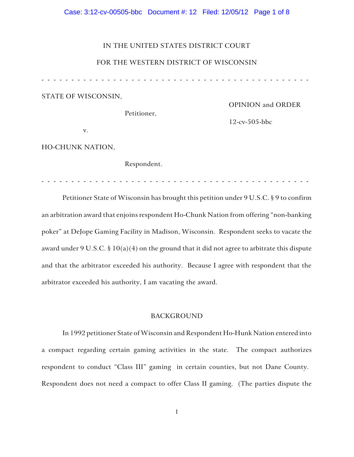# Case: 3:12-cv-00505-bbc Document #: 12 Filed: 12/05/12 Page 1 of 8

# IN THE UNITED STATES DISTRICT COURT

# FOR THE WESTERN DISTRICT OF WISCONSIN

- - - - - - - - - - - - - - - - - - - - - - - - - - - - - - - - - - - - - - - - - - - - -

STATE OF WISCONSIN,

Petitioner,

OPINION and ORDER

12-cv-505-bbc

v.

HO-CHUNK NATION,

Respondent.

- - - - - - - - - - - - - - - - - - - - - - - - - - - - - - - - - - - - - - - - - - - - -

Petitioner State of Wisconsin has brought this petition under 9 U.S.C. § 9 to confirm an arbitration award that enjoins respondent Ho-Chunk Nation from offering "non-banking poker" at DeJope Gaming Facility in Madison, Wisconsin. Respondent seeks to vacate the award under 9 U.S.C. § 10(a)(4) on the ground that it did not agree to arbitrate this dispute and that the arbitrator exceeded his authority. Because I agree with respondent that the arbitrator exceeded his authority, I am vacating the award.

# BACKGROUND

In 1992 petitioner State of Wisconsin and Respondent Ho-Hunk Nation entered into a compact regarding certain gaming activities in the state. The compact authorizes respondent to conduct "Class III" gaming in certain counties, but not Dane County. Respondent does not need a compact to offer Class II gaming. (The parties dispute the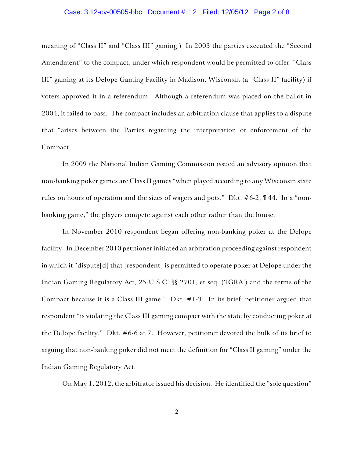# Case: 3:12-cv-00505-bbc Document #: 12 Filed: 12/05/12 Page 2 of 8

meaning of "Class II" and "Class III" gaming.) In 2003 the parties executed the "Second Amendment" to the compact, under which respondent would be permitted to offer "Class III" gaming at its DeJope Gaming Facility in Madison, Wisconsin (a "Class II" facility) if voters approved it in a referendum. Although a referendum was placed on the ballot in 2004, it failed to pass. The compact includes an arbitration clause that applies to a dispute that "arises between the Parties regarding the interpretation or enforcement of the Compact."

In 2009 the National Indian Gaming Commission issued an advisory opinion that non-banking poker games are Class II games "when played according to any Wisconsin state rules on hours of operation and the sizes of wagers and pots." Dkt. #6-2, ¶ 44. In a "nonbanking game," the players compete against each other rather than the house.

In November 2010 respondent began offering non-banking poker at the DeJope facility. In December 2010 petitioner initiated an arbitration proceeding against respondent in which it "dispute[d] that [respondent] is permitted to operate poker at DeJope under the Indian Gaming Regulatory Act, 25 U.S.C. §§ 2701, et seq. ('IGRA') and the terms of the Compact because it is a Class III game." Dkt. #1-3. In its brief, petitioner argued that respondent "is violating the Class III gaming compact with the state by conducting poker at the DeJope facility." Dkt. #6-6 at 7. However, petitioner devoted the bulk of its brief to arguing that non-banking poker did not meet the definition for "Class II gaming" under the Indian Gaming Regulatory Act.

On May 1, 2012, the arbitrator issued his decision. He identified the "sole question"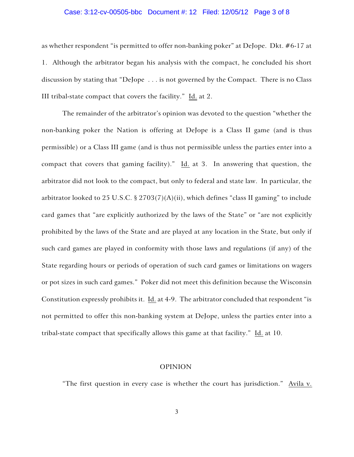# Case: 3:12-cv-00505-bbc Document #: 12 Filed: 12/05/12 Page 3 of 8

as whether respondent "is permitted to offer non-banking poker" at DeJope. Dkt. #6-17 at 1. Although the arbitrator began his analysis with the compact, he concluded his short discussion by stating that "DeJope . . . is not governed by the Compact. There is no Class III tribal-state compact that covers the facility." Id. at 2.

The remainder of the arbitrator's opinion was devoted to the question "whether the non-banking poker the Nation is offering at DeJope is a Class II game (and is thus permissible) or a Class III game (and is thus not permissible unless the parties enter into a compact that covers that gaming facility)." Id. at 3. In answering that question, the arbitrator did not look to the compact, but only to federal and state law. In particular, the arbitrator looked to 25 U.S.C. § 2703(7)(A)(ii), which defines "class II gaming" to include card games that "are explicitly authorized by the laws of the State" or "are not explicitly prohibited by the laws of the State and are played at any location in the State, but only if such card games are played in conformity with those laws and regulations (if any) of the State regarding hours or periods of operation of such card games or limitations on wagers or pot sizes in such card games." Poker did not meet this definition because the Wisconsin Constitution expressly prohibits it. Id. at 4-9. The arbitrator concluded that respondent "is not permitted to offer this non-banking system at DeJope, unless the parties enter into a tribal-state compact that specifically allows this game at that facility." Id. at 10.

# OPINION

"The first question in every case is whether the court has jurisdiction." Avila v.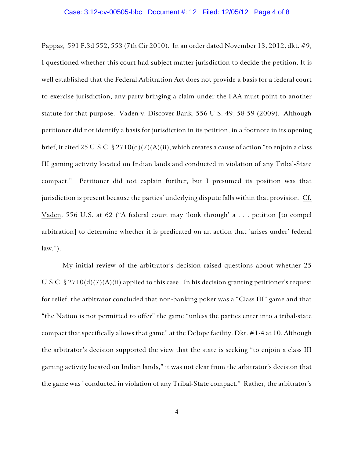Pappas, 591 F.3d 552, 553 (7th Cir 2010). In an order dated November 13, 2012, dkt. #9, I questioned whether this court had subject matter jurisdiction to decide the petition. It is well established that the Federal Arbitration Act does not provide a basis for a federal court to exercise jurisdiction; any party bringing a claim under the FAA must point to another statute for that purpose. Vaden v. Discover Bank, 556 U.S. 49, 58-59 (2009). Although petitioner did not identify a basis for jurisdiction in its petition, in a footnote in its opening brief, it cited 25 U.S.C. § 2710(d)(7)(A)(ii), which creates a cause of action "to enjoin a class III gaming activity located on Indian lands and conducted in violation of any Tribal-State compact." Petitioner did not explain further, but I presumed its position was that jurisdiction is present because the parties' underlying dispute falls within that provision. Cf. Vaden, 556 U.S. at 62 ("A federal court may 'look through' a . . . petition [to compel arbitration] to determine whether it is predicated on an action that 'arises under' federal  $law.'$ ).

My initial review of the arbitrator's decision raised questions about whether 25 U.S.C.  $\S 2710(d)(7)(A)(ii)$  applied to this case. In his decision granting petitioner's request for relief, the arbitrator concluded that non-banking poker was a "Class III" game and that "the Nation is not permitted to offer" the game "unless the parties enter into a tribal-state compact that specifically allows that game" at the DeJope facility. Dkt. #1-4 at 10. Although the arbitrator's decision supported the view that the state is seeking "to enjoin a class III gaming activity located on Indian lands," it was not clear from the arbitrator's decision that the game was "conducted in violation of any Tribal-State compact." Rather, the arbitrator's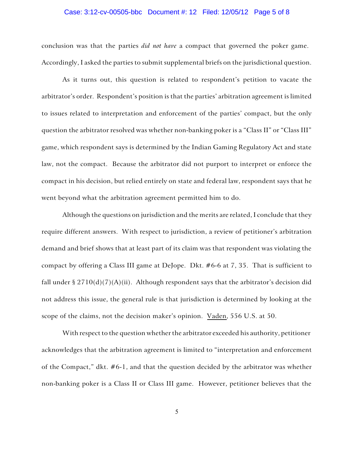# Case: 3:12-cv-00505-bbc Document #: 12 Filed: 12/05/12 Page 5 of 8

conclusion was that the parties *did not have* a compact that governed the poker game. Accordingly, I asked the parties to submit supplemental briefs on the jurisdictional question.

As it turns out, this question is related to respondent's petition to vacate the arbitrator's order. Respondent's position is that the parties' arbitration agreement is limited to issues related to interpretation and enforcement of the parties' compact, but the only question the arbitrator resolved was whether non-banking poker is a "Class II" or "Class III" game, which respondent says is determined by the Indian Gaming Regulatory Act and state law, not the compact. Because the arbitrator did not purport to interpret or enforce the compact in his decision, but relied entirely on state and federal law, respondent says that he went beyond what the arbitration agreement permitted him to do.

Although the questions on jurisdiction and the merits are related, I conclude that they require different answers. With respect to jurisdiction, a review of petitioner's arbitration demand and brief shows that at least part of its claim was that respondent was violating the compact by offering a Class III game at DeJope. Dkt. #6-6 at 7, 35. That is sufficient to fall under §  $2710(d)(7)(A)(ii)$ . Although respondent says that the arbitrator's decision did not address this issue, the general rule is that jurisdiction is determined by looking at the scope of the claims, not the decision maker's opinion. Vaden, 556 U.S. at 50.

With respect to the question whether the arbitrator exceeded his authority, petitioner acknowledges that the arbitration agreement is limited to "interpretation and enforcement of the Compact," dkt. #6-1, and that the question decided by the arbitrator was whether non-banking poker is a Class II or Class III game. However, petitioner believes that the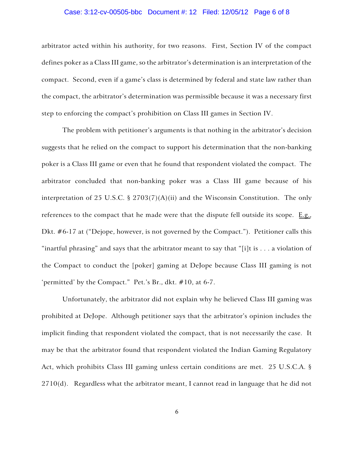# Case: 3:12-cv-00505-bbc Document #: 12 Filed: 12/05/12 Page 6 of 8

arbitrator acted within his authority, for two reasons. First, Section IV of the compact defines poker as a Class III game, so the arbitrator's determination is an interpretation of the compact. Second, even if a game's class is determined by federal and state law rather than the compact, the arbitrator's determination was permissible because it was a necessary first step to enforcing the compact's prohibition on Class III games in Section IV.

The problem with petitioner's arguments is that nothing in the arbitrator's decision suggests that he relied on the compact to support his determination that the non-banking poker is a Class III game or even that he found that respondent violated the compact. The arbitrator concluded that non-banking poker was a Class III game because of his interpretation of 25 U.S.C. § 2703(7)(A)(ii) and the Wisconsin Constitution. The only references to the compact that he made were that the dispute fell outside its scope. E.g., Dkt. #6-17 at ("Dejope, however, is not governed by the Compact."). Petitioner calls this "inartful phrasing" and says that the arbitrator meant to say that "[i]t is . . . a violation of the Compact to conduct the [poker] gaming at DeJope because Class III gaming is not 'permitted' by the Compact." Pet.'s Br., dkt. #10, at 6-7.

Unfortunately, the arbitrator did not explain why he believed Class III gaming was prohibited at DeJope. Although petitioner says that the arbitrator's opinion includes the implicit finding that respondent violated the compact, that is not necessarily the case. It may be that the arbitrator found that respondent violated the Indian Gaming Regulatory Act, which prohibits Class III gaming unless certain conditions are met. 25 U.S.C.A. §  $2710(d)$ . Regardless what the arbitrator meant, I cannot read in language that he did not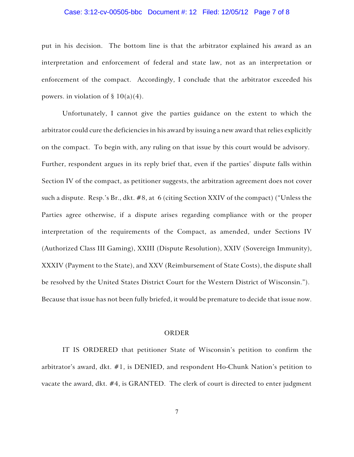# Case: 3:12-cv-00505-bbc Document #: 12 Filed: 12/05/12 Page 7 of 8

put in his decision. The bottom line is that the arbitrator explained his award as an interpretation and enforcement of federal and state law, not as an interpretation or enforcement of the compact. Accordingly, I conclude that the arbitrator exceeded his powers. in violation of  $\S 10(a)(4)$ .

Unfortunately, I cannot give the parties guidance on the extent to which the arbitrator could cure the deficiencies in his award by issuing a new award that relies explicitly on the compact. To begin with, any ruling on that issue by this court would be advisory. Further, respondent argues in its reply brief that, even if the parties' dispute falls within Section IV of the compact, as petitioner suggests, the arbitration agreement does not cover such a dispute. Resp.'s Br., dkt. #8, at 6 (citing Section XXIV of the compact) ("Unless the Parties agree otherwise, if a dispute arises regarding compliance with or the proper interpretation of the requirements of the Compact, as amended, under Sections IV (Authorized Class III Gaming), XXIII (Dispute Resolution), XXIV (Sovereign Immunity), XXXIV (Payment to the State), and XXV (Reimbursement of State Costs), the dispute shall be resolved by the United States District Court for the Western District of Wisconsin."). Because that issue has not been fully briefed, it would be premature to decide that issue now.

# ORDER

IT IS ORDERED that petitioner State of Wisconsin's petition to confirm the arbitrator's award, dkt. #1, is DENIED, and respondent Ho-Chunk Nation's petition to vacate the award, dkt. #4, is GRANTED. The clerk of court is directed to enter judgment